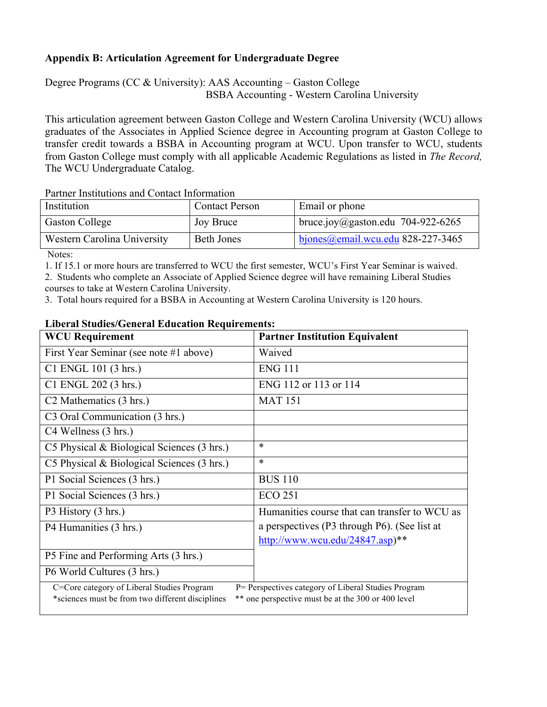## **Appendix B: Articulation Agreement for Undergraduate Degree**

Degree Programs (CC & University): AAS Accounting – Gaston College

BSBA Accounting - Western Carolina University

This articulation agreement between Gaston College and Western Carolina University (WCU) allows graduates of the Associates in Applied Science degree in Accounting program at Gaston College to transfer credit towards a BSBA in Accounting program at WCU. Upon transfer to WCU, students from Gaston College must comply with all applicable Academic Regulations as listed in *The Record,*  The WCU Undergraduate Catalog.

Partner Institutions and Contact Information

| Institution                 | <b>Contact Person</b> | Email or phone                                   |
|-----------------------------|-----------------------|--------------------------------------------------|
| <b>Gaston College</b>       | Joy Bruce             | bruce.joy@gaston.edu 704-922-6265                |
| Western Carolina University | <b>Beth Jones</b>     | $\frac{1}{2}$ bjones @email.wcu.edu 828-227-3465 |

Notes:

1. If 15.1 or more hours are transferred to WCU the first semester, WCU's First Year Seminar is waived.

2. Students who complete an Associate of Applied Science degree will have remaining Liberal Studies courses to take at Western Carolina University.

3. Total hours required for a BSBA in Accounting at Western Carolina University is 120 hours.

## **Liberal Studies/General Education Requirements:**

| <b>WCU Requirement</b>                                                                                                                                                                                      | <b>Partner Institution Equivalent</b>         |  |  |  |
|-------------------------------------------------------------------------------------------------------------------------------------------------------------------------------------------------------------|-----------------------------------------------|--|--|--|
| First Year Seminar (see note #1 above)                                                                                                                                                                      | Waived                                        |  |  |  |
| C1 ENGL 101 (3 hrs.)                                                                                                                                                                                        | <b>ENG 111</b>                                |  |  |  |
| C1 ENGL 202 (3 hrs.)                                                                                                                                                                                        | ENG 112 or 113 or 114                         |  |  |  |
| C <sub>2</sub> Mathematics (3 hrs.)                                                                                                                                                                         | <b>MAT 151</b>                                |  |  |  |
| C3 Oral Communication (3 hrs.)                                                                                                                                                                              |                                               |  |  |  |
| C4 Wellness (3 hrs.)                                                                                                                                                                                        |                                               |  |  |  |
| C5 Physical $\&$ Biological Sciences (3 hrs.)                                                                                                                                                               | $\ast$                                        |  |  |  |
| C5 Physical & Biological Sciences (3 hrs.)                                                                                                                                                                  | $\ast$                                        |  |  |  |
| P1 Social Sciences (3 hrs.)                                                                                                                                                                                 | <b>BUS 110</b>                                |  |  |  |
| P1 Social Sciences (3 hrs.)                                                                                                                                                                                 | <b>ECO 251</b>                                |  |  |  |
| P3 History (3 hrs.)                                                                                                                                                                                         | Humanities course that can transfer to WCU as |  |  |  |
| P4 Humanities (3 hrs.)                                                                                                                                                                                      | a perspectives (P3 through P6). (See list at  |  |  |  |
|                                                                                                                                                                                                             | http://www.wcu.edu/24847.asp)**               |  |  |  |
| P5 Fine and Performing Arts (3 hrs.)                                                                                                                                                                        |                                               |  |  |  |
| P6 World Cultures (3 hrs.)                                                                                                                                                                                  |                                               |  |  |  |
| C=Core category of Liberal Studies Program<br>P= Perspectives category of Liberal Studies Program<br>** one perspective must be at the 300 or 400 level<br>*sciences must be from two different disciplines |                                               |  |  |  |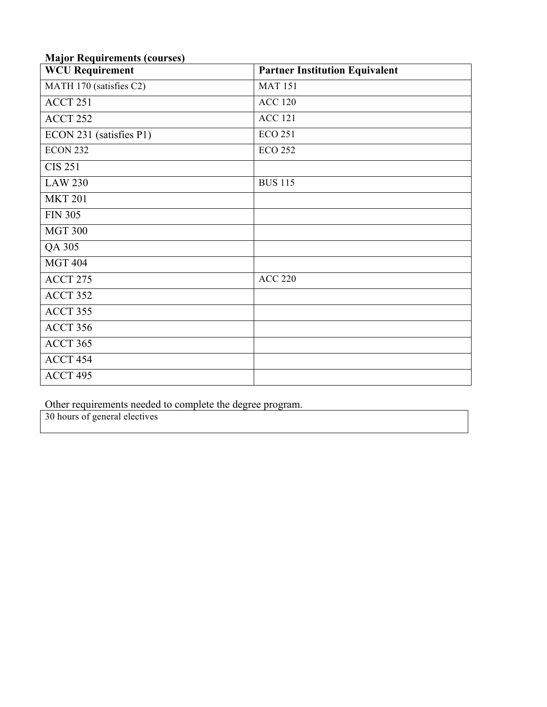| <b>Major Requirements (courses)</b> |                                       |  |  |
|-------------------------------------|---------------------------------------|--|--|
| <b>WCU Requirement</b>              | <b>Partner Institution Equivalent</b> |  |  |
| MATH 170 (satisfies C2)             | <b>MAT 151</b>                        |  |  |
| ACCT 251                            | <b>ACC 120</b>                        |  |  |
| ACCT 252                            | <b>ACC 121</b>                        |  |  |
| ECON 231 (satisfies P1)             | <b>ECO 251</b>                        |  |  |
| <b>ECON 232</b>                     | <b>ECO 252</b>                        |  |  |
| <b>CIS 251</b>                      |                                       |  |  |
| <b>LAW 230</b>                      | <b>BUS 115</b>                        |  |  |
| <b>MKT 201</b>                      |                                       |  |  |
| <b>FIN 305</b>                      |                                       |  |  |
| <b>MGT 300</b>                      |                                       |  |  |
| QA 305                              |                                       |  |  |
| <b>MGT 404</b>                      |                                       |  |  |
| ACCT 275                            | <b>ACC 220</b>                        |  |  |
| ACCT 352                            |                                       |  |  |
| ACCT 355                            |                                       |  |  |
| ACCT 356                            |                                       |  |  |
| ACCT 365                            |                                       |  |  |
| ACCT 454                            |                                       |  |  |

## **Major Requirements (courses)**

Other requirements needed to complete the degree program.

30 hours of general electives

ACCT 495